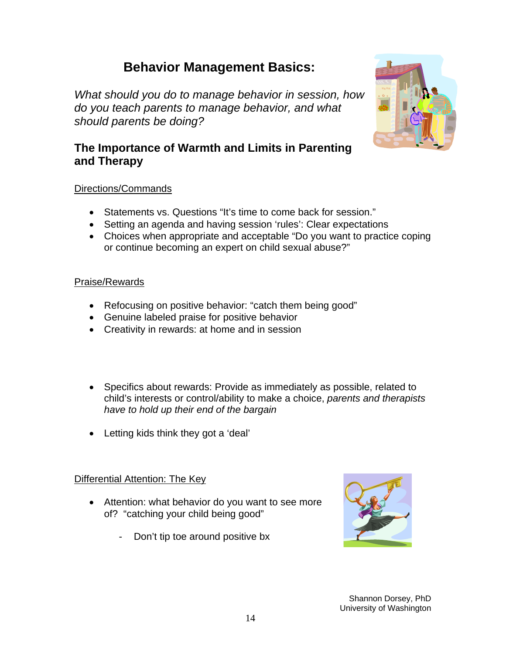# **Behavior Management Basics:**

*What should you do to manage behavior in session, how do you teach parents to manage behavior, and what should parents be doing?* 



### Directions/Commands

- Statements vs. Questions "It's time to come back for session."
- Setting an agenda and having session 'rules': Clear expectations
- Choices when appropriate and acceptable "Do you want to practice coping or continue becoming an expert on child sexual abuse?"

#### Praise/Rewards

- Refocusing on positive behavior: "catch them being good"
- Genuine labeled praise for positive behavior
- Creativity in rewards: at home and in session
- Specifics about rewards: Provide as immediately as possible, related to child's interests or control/ability to make a choice, *parents and therapists have to hold up their end of the bargain*
- Letting kids think they got a 'deal'

#### Differential Attention: The Key

- Attention: what behavior do you want to see more of? "catching your child being good"
	- Don't tip toe around positive bx



Shannon Dorsey, PhD University of Washington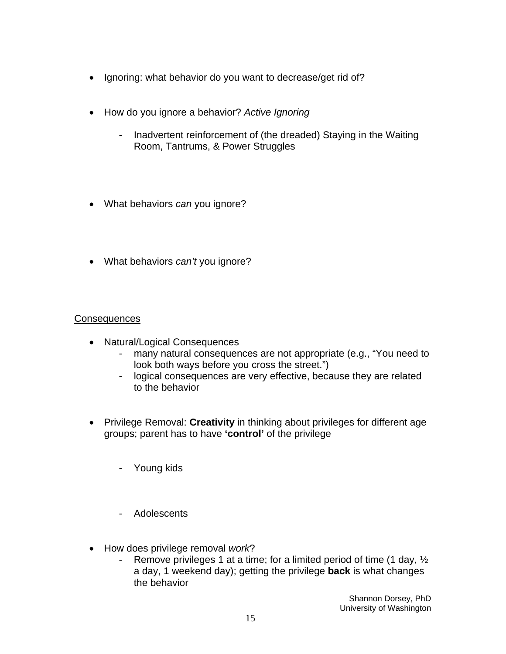- Ignoring: what behavior do you want to decrease/get rid of?
- How do you ignore a behavior? *Active Ignoring*
	- Inadvertent reinforcement of (the dreaded) Staying in the Waiting Room, Tantrums, & Power Struggles
- What behaviors *can* you ignore?
- What behaviors *can't* you ignore?

#### **Consequences**

- Natural/Logical Consequences
	- many natural consequences are not appropriate (e.g., "You need to look both ways before you cross the street.")
	- logical consequences are very effective, because they are related to the behavior
- Privilege Removal: **Creativity** in thinking about privileges for different age groups; parent has to have **'control'** of the privilege
	- Young kids
	- Adolescents
- How does privilege removal *work*?
	- Remove privileges 1 at a time; for a limited period of time (1 day,  $\frac{1}{2}$ ) a day, 1 weekend day); getting the privilege **back** is what changes the behavior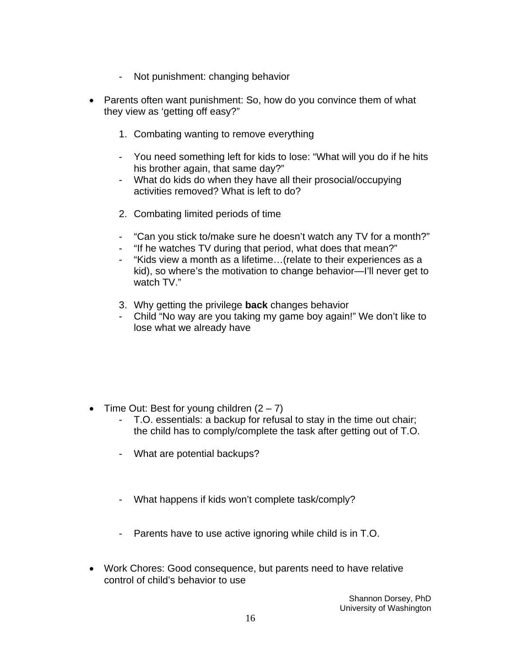- Not punishment: changing behavior
- Parents often want punishment: So, how do you convince them of what they view as 'getting off easy?"
	- 1. Combating wanting to remove everything
	- You need something left for kids to lose: "What will you do if he hits his brother again, that same day?"
	- What do kids do when they have all their prosocial/occupying activities removed? What is left to do?
	- 2. Combating limited periods of time
	- "Can you stick to/make sure he doesn't watch any TV for a month?"
	- "If he watches TV during that period, what does that mean?"
	- "Kids view a month as a lifetime…(relate to their experiences as a kid), so where's the motivation to change behavior—I'll never get to watch TV."
	- 3. Why getting the privilege **back** changes behavior
	- Child "No way are you taking my game boy again!" We don't like to lose what we already have

- Time Out: Best for young children  $(2 7)$ 
	- T.O. essentials: a backup for refusal to stay in the time out chair; the child has to comply/complete the task after getting out of T.O.
	- What are potential backups?
	- What happens if kids won't complete task/comply?
	- Parents have to use active ignoring while child is in T.O.
- Work Chores: Good consequence, but parents need to have relative control of child's behavior to use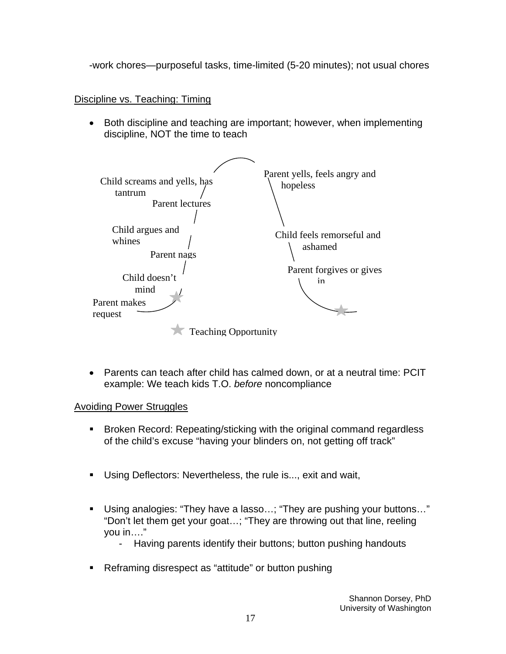-work chores—purposeful tasks, time-limited (5-20 minutes); not usual chores

## Discipline vs. Teaching: Timing

• Both discipline and teaching are important; however, when implementing discipline, NOT the time to teach



• Parents can teach after child has calmed down, or at a neutral time: PCIT example: We teach kids T.O. *before* noncompliance

#### Avoiding Power Struggles

- Broken Record: Repeating/sticking with the original command regardless of the child's excuse "having your blinders on, not getting off track"
- Using Deflectors: Nevertheless, the rule is..., exit and wait,
- Using analogies: "They have a lasso…; "They are pushing your buttons…" "Don't let them get your goat…; "They are throwing out that line, reeling you in…."
	- Having parents identify their buttons; button pushing handouts
- Reframing disrespect as "attitude" or button pushing